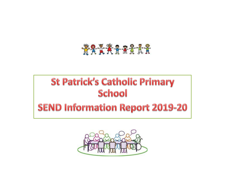#### \*\*\*\*\*\*\*\*\*

#### **St Patrick's Catholic Primary School**

#### **SEND Information Report 2019-20**

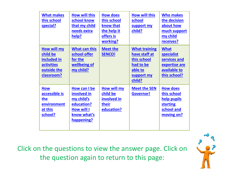<span id="page-1-0"></span>

| <b>What makes</b><br>this school<br>special?                                             | <b>How will this</b><br>school know<br>that my child<br>needs extra<br>help?                              | <b>How does</b><br>this school<br>know that<br>the help it<br>offers is<br>working? | <b>How will this</b><br>school<br>support my<br>child?                                               | <b>Who makes</b><br>the decision<br>about how<br>much support<br>my child<br>receives?            |
|------------------------------------------------------------------------------------------|-----------------------------------------------------------------------------------------------------------|-------------------------------------------------------------------------------------|------------------------------------------------------------------------------------------------------|---------------------------------------------------------------------------------------------------|
| How will my<br>child be<br>included in<br><b>activities</b><br>outside the<br>classroom? | <b>What can this</b><br>school offer<br>for the<br>wellbeing of<br>my child?                              | <b>Meet the</b><br><b>SENCO!</b>                                                    | <b>What training</b><br>have staff at<br>this school<br>had to be<br>able to<br>support my<br>child? | <b>What</b><br><b>specialist</b><br>services and<br>expertise are<br>available to<br>this school? |
| <b>How</b><br>accessible is<br>the<br>environment<br>at this<br>school?                  | How can I be<br>involved in<br>my child's<br>education?<br><b>How will I</b><br>know what's<br>happening? | <b>How will my</b><br>child be<br>involved in<br>their<br>education?                | <b>Meet the SEN</b><br><b>Governor!</b>                                                              | <b>How does</b><br>this school<br>help pupils<br><b>starting</b><br>school and<br>moving on?      |

Click on the questions to view the answer page. Click on the question again to return to this page:

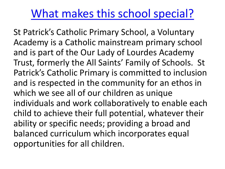#### [What makes this school special?](#page-1-0)

<span id="page-2-0"></span>St Patrick's Catholic Primary School, a Voluntary Academy is a Catholic mainstream primary school and is part of the Our Lady of Lourdes Academy Trust, formerly the All Saints' Family of Schools. St Patrick's Catholic Primary is committed to inclusion and is respected in the community for an ethos in which we see all of our children as unique individuals and work collaboratively to enable each child to achieve their full potential, whatever their ability or specific needs; providing a broad and balanced curriculum which incorporates equal opportunities for all children.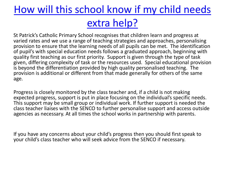#### [How will this school know if my child needs](#page-1-0) extra help?

St Patrick's Catholic Primary School recognises that children learn and progress at varied rates and we use a range of teaching strategies and approaches, personalising provision to ensure that the learning needs of all pupils can be met. The identification of pupil's with special education needs follows a graduated approach, beginning with quality first teaching as our first priority. Support is given through the type of task given, differing complexity of task or the resources used. Special educational provision is beyond the differentiation provided by high quality personalised teaching. The provision is additional or different from that made generally for others of the same age.

Progress is closely monitored by the class teacher and, if a child is not making expected progress, support is put in place focusing on the individual's specific needs. This support may be small group or individual work. If further support is needed the class teacher liaises with the SENCO to further personalise support and access outside agencies as necessary. At all times the school works in partnership with parents.

If you have any concerns about your child's progress then you should first speak to your child's class teacher who will seek advice from the SENCO if necessary.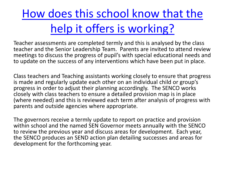# <span id="page-4-0"></span>[How does this school know that the](#page-1-0)  help it offers is working?

Teacher assessments are completed termly and this is analysed by the class teacher and the Senior Leadership Team. Parents are invited to attend review meetings to discuss the progress of pupil's with special educational needs and to update on the success of any interventions which have been put in place.

Class teachers and Teaching assistants working closely to ensure that progress is made and regularly update each other on an individual child or group's progress in order to adjust their planning accordingly. The SENCO works closely with class teachers to ensure a detailed provision map is in place (where needed) and this is reviewed each term after analysis of progress with parents and outside agencies where appropriate.

The governors receive a termly update to report on practice and provision within school and the named SEN Governor meets annually with the SENCO to review the previous year and discuss areas for development. Each year, the SENCO produces an SEND action plan detailing successes and areas for development for the forthcoming year.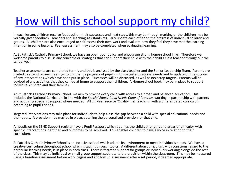### [How will this school support my child?](#page-1-0)

In each lesson, children receive feedback on their successes and next steps, this may be through marking or the children may be verbally given feedback. Teachers and Teaching Assistants regularly update each other on the progress of individual children and groups. All children are also encouraged to self-assess their own work and evaluate how they feel they have met the learning intention in some lessons. Peer-assessment may also be completed when evaluating learning.

At St Patrick's Catholic Primary School, we have an open door policy and encourage strong home-school links. Therefore we welcome parents to discuss any concerns or strategies that can support their child with their child's class teacher throughout the school year.

Teacher assessments are completed termly and this is analysed by the class teacher and the Senior Leadership Team. Parents are invited to attend review meetings to discuss the progress of pupil's with special educational needs and to update on the success of any interventions which have been put in place. Successes will be discussed, as well as next step targets. Parents will be advised of any activities that they can do at home to support their children. A Home/school book may be in place to support individual children and their families.

At St Patrick's Catholic Primary School, we aim to provide every child with access to a broad and balanced education. This includes the National Curriculum in line with the *Special Educational Needs Code of Practice*, working in partnership with parents and acquiring specialist support where needed*.* All children receive 'Quality first teaching' with a differentiated curriculum according to pupil's needs.

Targeted interventions may take place for individuals to help close the gap between a child with special educational needs and their peers. A provision map may be in place, detailing the personalised provision for that chid.

All pupils on the SEND Support register have a Pupil Passport which outlines the child's strengths and areas of difficulty, with specific interventions identified and outcomes to be achieved. This enables children to have a voice in relation to their curriculum.

St Patrick's Catholic Primary School is an inclusive school which adapts its environment to meet individual's needs. We have a creative curriculum throughout school which is taught through topics. A differentiation curriculum, with conscious regard to the particular learning needs, is in place in each class. There is targeted support for groups or individuals working alongside the rest of the class. This may be individual or small group support separate to the provision within the classroom. This may be measured using a baseline assessment before work begins and a follow up assessment after a set period, if deemed appropriate.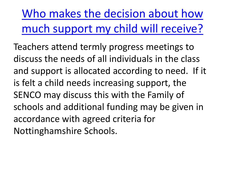<span id="page-6-0"></span>Who makes the decision about how [much support my child will receive?](#page-1-0)

Teachers attend termly progress meetings to discuss the needs of all individuals in the class and support is allocated according to need. If it is felt a child needs increasing support, the SENCO may discuss this with the Family of schools and additional funding may be given in accordance with agreed criteria for Nottinghamshire Schools.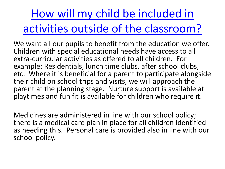<span id="page-7-0"></span>How will my child be included in [activities outside of the classroom?](#page-1-0)

We want all our pupils to benefit from the education we offer. Children with special educational needs have access to all extra-curricular activities as offered to all children. For example: Residentials, lunch time clubs, after school clubs, etc. Where it is beneficial for a parent to participate alongside their child on school trips and visits, we will approach the parent at the planning stage. Nurture support is available at playtimes and fun fit is available for children who require it.

Medicines are administered in line with our school policy; there is a medical care plan in place for all children identified as needing this. Personal care is provided also in line with our school policy.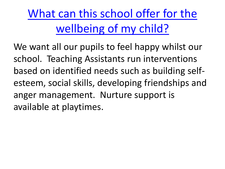<span id="page-8-0"></span>[What can this school offer for the](#page-1-0) wellbeing of my child?

We want all our pupils to feel happy whilst our school. Teaching Assistants run interventions based on identified needs such as building selfesteem, social skills, developing friendships and anger management. Nurture support is available at playtimes.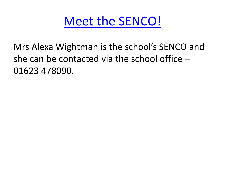[Meet the SENCO!](#page-1-0)

<span id="page-9-0"></span>Mrs Alexa Wightman is the school's SENCO and she can be contacted via the school office – 01623 478090.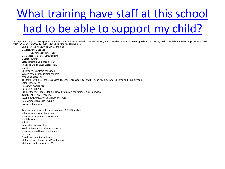## <span id="page-10-0"></span>[What training have staff at this school](#page-1-0)  had to be able to support my child?

A range of training has taken place as a whole school and as individuals. We work closely with specialist services who train, guide and advise us, so that we deliver the best support for a child with SEND. During 2018-19, the following training has taken place:

- CRB (previously known as MAPA) training
- EAL Network meetings
- R4S Ready for Secondary school
- Designated Person for Safeguarding
- E-Safety awareness
- Safeguarding training for all staff
- FGM and Child Sexual Exploitation
- GDPR
- Children missing from education
- What's new in Safeguarding children
- Managing allegations
- The Statutory Role of the Designated Teacher for Looked After and Previously Looked After Children and Young People
- Safer recruitment
- Fire safety awareness
- Paediatric First Aid
- Pre-Key Stage Standards for pupils working below the national curriculum level
- Termly EAL Network meetings
- CAMHS twilights covering a range of EHWB
- Bereavement and Loss Training
- Executive functioning
- Training to take place this academic year (2019-20) includes:
- Safeguarding training for all staff
- Designated Person for Safeguarding
- E-Safety awareness
- GDPR
- Contextual Safeguarding
- Working together to safeguard children
- Designated Lead Focus group meetings
- First aid
- Anaphylaxis and Use of Epipen
- CRB (previously known as MAPA) training
- Staff meeting training on EHWB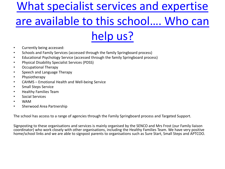### <span id="page-11-0"></span>What specialist services and expertise [are available to this school…. Who can](#page-1-0)  help us?

- Currently being accessed:
- Schools and Family Services (accessed through the family Springboard process)
- Educational Psychology Service (accessed through the family Springboard process)
- Physical Disability Specialist Services (PDSS)
- Occupational Therapy
- Speech and Language Therapy
- Physiotherapy
- CAHMS Emotional Health and Well-being Service
- Small Steps Service
- Healthy Families Team
- Social Services
- WAM
- Sherwood Area Partnership

The school has access to a range of agencies through the Family Springboard process and Targeted Support.

Signposting to these organisations and services is mainly organised by the SENCO and Mrs Frost (our Family liaison coordinator) who work closely with other organisations, including the Healthy Families Team. We have very positive home/school links and we are able to signpost parents to organisations such as Sure Start, Small Steps and APTCOO.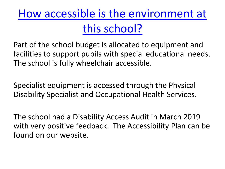<span id="page-12-0"></span>[How accessible is the environment at](#page-1-0) this school?

Part of the school budget is allocated to equipment and facilities to support pupils with special educational needs. The school is fully wheelchair accessible.

Specialist equipment is accessed through the Physical Disability Specialist and Occupational Health Services.

The school had a Disability Access Audit in March 2019 with very positive feedback. The Accessibility Plan can be found on our website.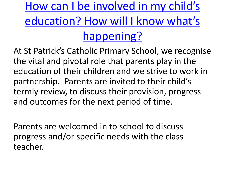<span id="page-13-0"></span>How can I be involved in my child's [education? How will I know what's](#page-1-0)  happening?

At St Patrick's Catholic Primary School, we recognise the vital and pivotal role that parents play in the education of their children and we strive to work in partnership. Parents are invited to their child's termly review, to discuss their provision, progress and outcomes for the next period of time.

Parents are welcomed in to school to discuss progress and/or specific needs with the class teacher.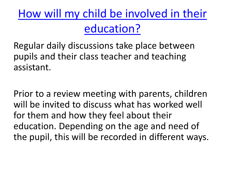<span id="page-14-0"></span>[How will my child be involved in their](#page-1-0) education?

Regular daily discussions take place between pupils and their class teacher and teaching assistant.

Prior to a review meeting with parents, children will be invited to discuss what has worked well for them and how they feel about their education. Depending on the age and need of the pupil, this will be recorded in different ways.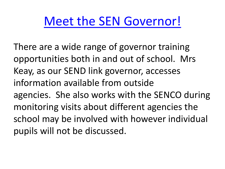### [Meet the SEN Governor!](#page-1-0)

<span id="page-15-0"></span>There are a wide range of governor training opportunities both in and out of school. Mrs Keay, as our SEND link governor, accesses information available from outside agencies. She also works with the SENCO during monitoring visits about different agencies the school may be involved with however individual pupils will not be discussed.